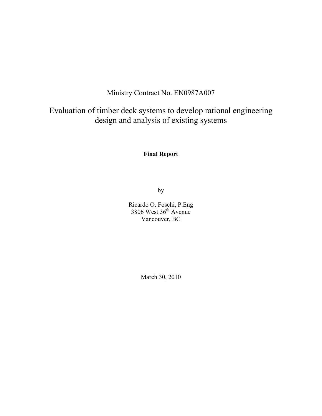# Ministry Contract No. EN0987A007

# Evaluation of timber deck systems to develop rational engineering design and analysis of existing systems

## **Final Report**

by

Ricardo O. Foschi, P.Eng 3806 West 36<sup>th</sup> Avenue Vancouver, BC

March 30, 2010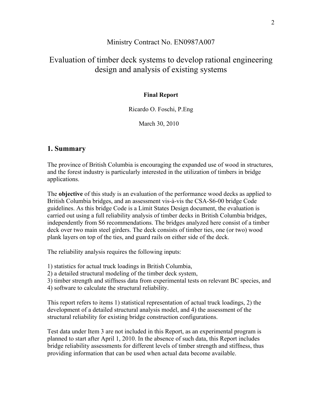### Ministry Contract No. EN0987A007

# Evaluation of timber deck systems to develop rational engineering design and analysis of existing systems

#### **Final Report**

#### Ricardo O. Foschi, P.Eng

March 30, 2010

### **1. Summary**

The province of British Columbia is encouraging the expanded use of wood in structures, and the forest industry is particularly interested in the utilization of timbers in bridge applications.

The **objective** of this study is an evaluation of the performance wood decks as applied to British Columbia bridges, and an assessment vis-à-vis the CSA-S6-00 bridge Code guidelines. As this bridge Code is a Limit States Design document, the evaluation is carried out using a full reliability analysis of timber decks in British Columbia bridges, independently from S6 recommendations. The bridges analyzed here consist of a timber deck over two main steel girders. The deck consists of timber ties, one (or two) wood plank layers on top of the ties, and guard rails on either side of the deck.

The reliability analysis requires the following inputs:

1) statistics for actual truck loadings in British Columbia,

2) a detailed structural modeling of the timber deck system,

3) timber strength and stiffness data from experimental tests on relevant BC species, and

4) software to calculate the structural reliability.

This report refers to items 1) statistical representation of actual truck loadings, 2) the development of a detailed structural analysis model, and 4) the assessment of the structural reliability for existing bridge construction configurations.

Test data under Item 3 are not included in this Report, as an experimental program is planned to start after April 1, 2010. In the absence of such data, this Report includes bridge reliability assessments for different levels of timber strength and stiffness, thus providing information that can be used when actual data become available.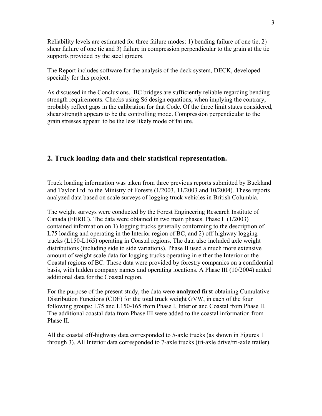Reliability levels are estimated for three failure modes: 1) bending failure of one tie, 2) shear failure of one tie and 3) failure in compression perpendicular to the grain at the tie supports provided by the steel girders.

The Report includes software for the analysis of the deck system, DECK, developed specially for this project.

As discussed in the Conclusions, BC bridges are sufficiently reliable regarding bending strength requirements. Checks using S6 design equations, when implying the contrary, probably reflect gaps in the calibration for that Code. Of the three limit states considered, shear strength appears to be the controlling mode. Compression perpendicular to the grain stresses appear to be the less likely mode of failure.

## **2. Truck loading data and their statistical representation.**

Truck loading information was taken from three previous reports submitted by Buckland and Taylor Ltd. to the Ministry of Forests (1/2003, 11/2003 and 10/2004). These reports analyzed data based on scale surveys of logging truck vehicles in British Columbia.

The weight surveys were conducted by the Forest Engineering Research Institute of Canada (FERIC). The data were obtained in two main phases. Phase I (1/2003) contained information on 1) logging trucks generally conforming to the description of L75 loading and operating in the Interior region of BC, and 2) off-highway logging trucks (L150-L165) operating in Coastal regions. The data also included axle weight distributions (including side to side variations). Phase II used a much more extensive amount of weight scale data for logging trucks operating in either the Interior or the Coastal regions of BC. These data were provided by forestry companies on a confidential basis, with hidden company names and operating locations. A Phase III (10/2004) added additional data for the Coastal region.

For the purpose of the present study, the data were **analyzed first** obtaining Cumulative Distribution Functions (CDF) for the total truck weight GVW, in each of the four following groups: L75 and L150-165 from Phase I, Interior and Coastal from Phase II. The additional coastal data from Phase III were added to the coastal information from Phase II.

All the coastal off-highway data corresponded to 5-axle trucks (as shown in Figures 1 through 3). All Interior data corresponded to 7-axle trucks (tri-axle drive/tri-axle trailer).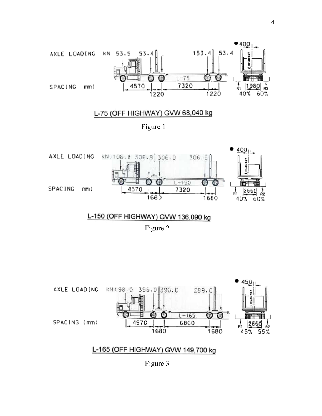



## L-150 (OFF HIGHWAY) GVW 136,090 kg

Figure 2



L-165 (OFF HIGHWAY) GVW 149,700 kg

Figure 3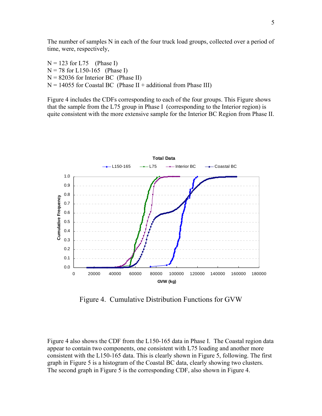The number of samples N in each of the four truck load groups, collected over a period of time, were, respectively,

 $N = 123$  for L75 (Phase I)  $N = 78$  for L150-165 (Phase I)  $N = 82036$  for Interior BC (Phase II)  $N = 14055$  for Coastal BC (Phase II + additional from Phase III)

Figure 4 includes the CDFs corresponding to each of the four groups. This Figure shows that the sample from the L75 group in Phase I (corresponding to the Interior region) is quite consistent with the more extensive sample for the Interior BC Region from Phase II.



Figure 4. Cumulative Distribution Functions for GVW

Figure 4 also shows the CDF from the L150-165 data in Phase I. The Coastal region data appear to contain two components, one consistent with L75 loading and another more consistent with the L150-165 data. This is clearly shown in Figure 5, following. The first graph in Figure 5 is a histogram of the Coastal BC data, clearly showing two clusters. The second graph in Figure 5 is the corresponding CDF, also shown in Figure 4.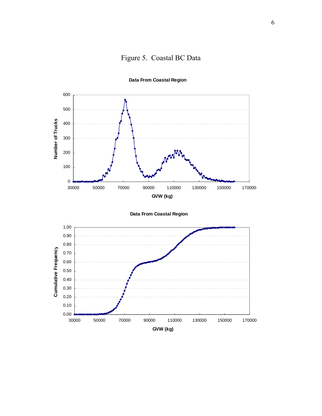



**Data From Coastal Region**



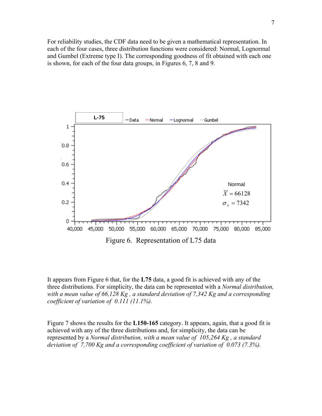For reliability studies, the CDF data need to be given a mathematical representation. In each of the four cases, three distribution functions were considered: Normal, Lognormal and Gumbel (Extreme type I). The corresponding goodness of fit obtained with each one is shown, for each of the four data groups, in Figures 6, 7, 8 and 9.



It appears from Figure 6 that, for the **L75** data, a good fit is achieved with any of the three distributions. For simplicity, the data can be represented with a *Normal distribution, with a mean value of 66,128 Kg , a standard deviation of 7,342 Kg and a corresponding coefficient of variation of 0.111 (11.1%).* 

Figure 7 shows the results for the **L150-165** category. It appears, again, that a good fit is achieved with any of the three distributions and, for simplicity, the data can be represented by a *Normal distribution, with a mean value of 105,264 Kg , a standard deviation of 7,700 Kg and a corresponding coefficient of variation of 0.073 (7.3%).*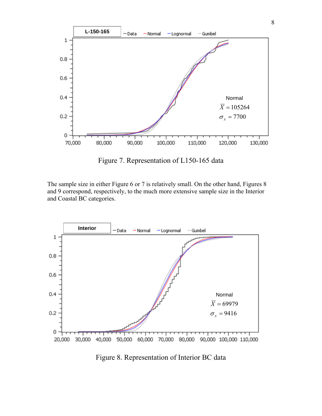

Figure 7. Representation of L150-165 data

The sample size in either Figure 6 or 7 is relatively small. On the other hand, Figures 8 and 9 correspond, respectively, to the much more extensive sample size in the Interior and Coastal BC categories.



Figure 8. Representation of Interior BC data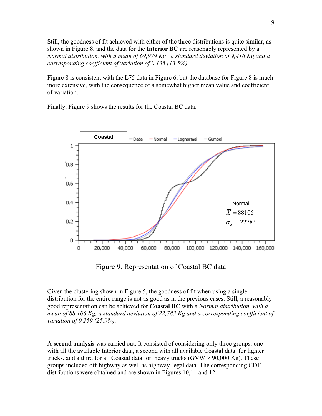Still, the goodness of fit achieved with either of the three distributions is quite similar, as shown in Figure 8, and the data for the **Interior BC** are reasonably represented by a *Normal distribution, with a mean of 69,979 Kg , a standard deviation of 9,416 Kg and a corresponding coefficient of variation of 0.135 (13.5%).* 

Figure 8 is consistent with the L75 data in Figure 6, but the database for Figure 8 is much more extensive, with the consequence of a somewhat higher mean value and coefficient of variation.

Finally, Figure 9 shows the results for the Coastal BC data.



Figure 9. Representation of Coastal BC data

Given the clustering shown in Figure 5, the goodness of fit when using a single distribution for the entire range is not as good as in the previous cases. Still, a reasonably good representation can be achieved for **Coastal BC** with a *Normal distribution, with a mean of 88,106 Kg, a standard deviation of 22,783 Kg and a corresponding coefficient of variation of 0.259 (25.9%).* 

A **second analysis** was carried out. It consisted of considering only three groups: one with all the available Interior data, a second with all available Coastal data for lighter trucks, and a third for all Coastal data for heavy trucks  $(GVW > 90,000 \text{ Kg})$ . These groups included off-highway as well as highway-legal data. The corresponding CDF distributions were obtained and are shown in Figures 10,11 and 12.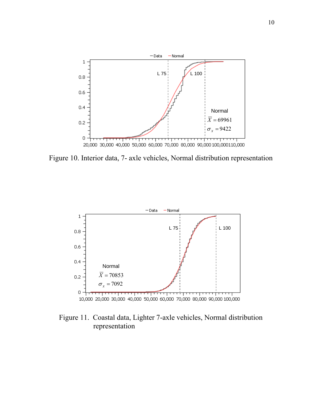

Figure 10. Interior data, 7- axle vehicles, Normal distribution representation



Figure 11. Coastal data, Lighter 7-axle vehicles, Normal distribution representation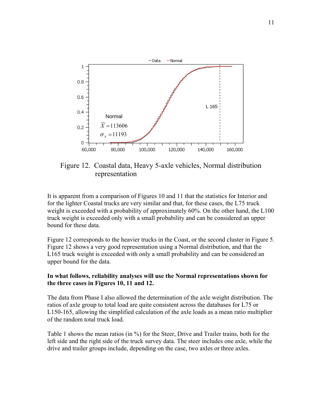

Figure 12. Coastal data, Heavy 5-axle vehicles, Normal distribution representation

It is apparent from a comparison of Figures 10 and 11 that the statistics for Interior and for the lighter Coastal trucks are very similar and that, for these cases, the L75 truck weight is exceeded with a probability of approximately 60%. On the other hand, the L100 truck weight is exceeded only with a small probability and can be considered an upper bound for these data.

Figure 12 corresponds to the heavier trucks in the Coast, or the second cluster in Figure 5. Figure 12 shows a very good representation using a Normal distribution, and that the L165 truck weight is exceeded with only a small probability and can be considered an upper bound for the data.

#### **In what follows, reliability analyses will use the Normal representations shown for the three cases in Figures 10, 11 and 12.**

The data from Phase I also allowed the determination of the axle weight distribution. The ratios of axle group to total load are quite consistent across the databases for L75 or L150-165, allowing the simplified calculation of the axle loads as a mean ratio multiplier of the random total truck load.

Table 1 shows the mean ratios (in %) for the Steer, Drive and Trailer trains, both for the left side and the right side of the truck survey data. The steer includes one axle, while the drive and trailer groups include, depending on the case, two axles or three axles.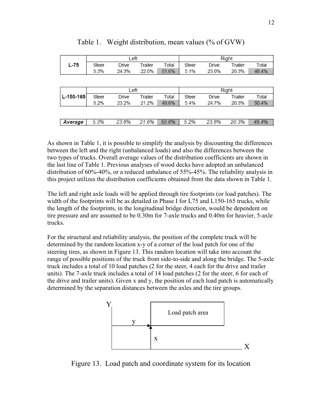|             | Left  |       |         |       | Right |       |         |       |
|-------------|-------|-------|---------|-------|-------|-------|---------|-------|
| L-75        | Steer | Drive | Trailer | Total | Steer | Drive | Trailer | Total |
|             | 5.3%  | 24.3% | 22.0%   | 51.6% | 5.1%  | 23.0% | 20.3%   | 48.4% |
|             |       |       |         |       |       |       |         |       |
|             |       |       |         |       |       |       |         |       |
|             | Left  |       |         | Right |       |       |         |       |
| $L-150-165$ | Steer | Drive | Trailer | Total | Steer | Drive | Trailer | Total |
|             | 5.2%  | 23.2% | 21.2%   | 49.6% | 5.4%  | 24.7% | 20.3%   | 50.4% |
|             |       |       |         |       |       |       |         |       |
|             |       |       |         |       |       |       |         |       |
| Average     | 5.3%  | 23.8% | 21.6%   | 50.6% | 5.2%  | 23.8% | 20.3%   | 49.4% |

Table 1. Weight distribution, mean values (% of GVW)

As shown in Table 1, it is possible to simplify the analysis by discounting the differences between the left and the right (unbalanced loads) and also the differences between the two types of trucks. Overall average values of the distribution coefficients are shown in the last line of Table 1. Previous analyses of wood decks have adopted an unbalanced distribution of 60%-40%, or a reduced unbalance of 55%-45%. The reliability analysis in this project utilizes the distribution coefficients obtained from the data shown in Table 1.

The left and right axle loads will be applied through tire footprints (or load patches). The width of the footprints will be as detailed in Phase I for L75 and L150-165 trucks, while the length of the footprints, in the longitudinal bridge direction, would be dependent on tire pressure and are assumed to be 0.30m for 7-axle trucks and 0.40m for heavier, 5-axle trucks.

For the structural and reliability analysis, the position of the complete truck will be determined by the random location x-y of a corner of the load patch for one of the steering tires, as shown in Figure 13. This random location will take into account the range of possible positions of the truck from side-to-side and along the bridge. The 5-axle truck includes a total of 10 load patches (2 for the steer, 4 each for the drive and trailer units). The 7-axle truck includes a total of 14 load patches (2 for the steer, 6 for each of the drive and trailer units). Given x and y, the position of each load patch is automatically determined by the separation distances between the axles and the tire groups.



Figure 13. Load patch and coordinate system for its location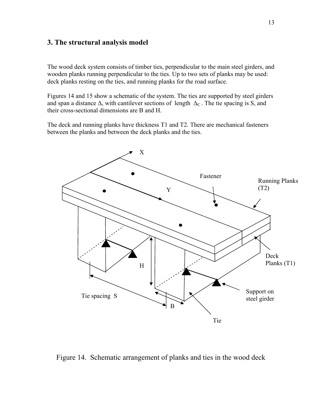## **3. The structural analysis model**

The wood deck system consists of timber ties, perpendicular to the main steel girders, and wooden planks running perpendicular to the ties. Up to two sets of planks may be used: deck planks resting on the ties, and running planks for the road surface.

Figures 14 and 15 show a schematic of the system. The ties are supported by steel girders and span a distance  $\Delta$ , with cantilever sections of length  $\Delta_C$ . The tie spacing is S, and their cross-sectional dimensions are B and H.

The deck and running planks have thickness T1 and T2. There are mechanical fasteners between the planks and between the deck planks and the ties.



Figure 14. Schematic arrangement of planks and ties in the wood deck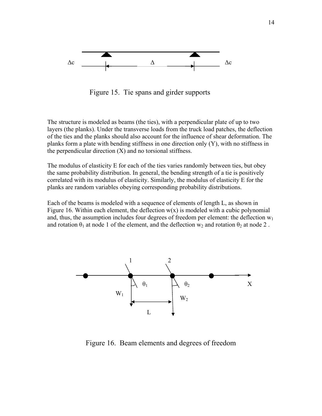

Figure 15. Tie spans and girder supports

The structure is modeled as beams (the ties), with a perpendicular plate of up to two layers (the planks). Under the transverse loads from the truck load patches, the deflection of the ties and the planks should also account for the influence of shear deformation. The planks form a plate with bending stiffness in one direction only (Y), with no stiffness in the perpendicular direction  $(X)$  and no torsional stiffness.

The modulus of elasticity E for each of the ties varies randomly between ties, but obey the same probability distribution. In general, the bending strength of a tie is positively correlated with its modulus of elasticity. Similarly, the modulus of elasticity E for the planks are random variables obeying corresponding probability distributions.

Each of the beams is modeled with a sequence of elements of length L, as shown in Figure 16. Within each element, the deflection  $w(x)$  is modeled with a cubic polynomial and, thus, the assumption includes four degrees of freedom per element: the deflection  $w_1$ and rotation  $\theta_1$  at node 1 of the element, and the deflection w<sub>2</sub> and rotation  $\theta_2$  at node 2.



Figure 16. Beam elements and degrees of freedom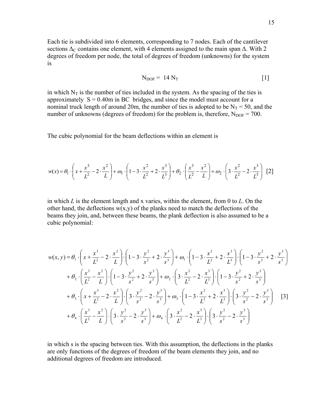Each tie is subdivided into 6 elements, corresponding to 7 nodes. Each of the cantilever sections  $\Delta_C$  contains one element, with 4 elements assigned to the main span  $\Delta$ . With 2 degrees of freedom per node, the total of degrees of freedom (unknowns) for the system is

$$
N_{DOF} = 14 N_T
$$
 [1]

nominal truck length of around 20m, the number of ties is adopted to be  $N_T = 50$ , and the number of unknowns (degrees of freedom) for the problem is, therefore,  $N_{DOF} = 700$ . in which  $N_T$  is the number of ties included in the system. As the spacing of the ties is approximately  $S = 0.40$ m in BC bridges, and since the model must account for a

The cubic polynomial for the beam deflections within an element is

$$
w(x) = \theta_1 \cdot \left(x + \frac{x^3}{L^2} - 2 \cdot \frac{x^2}{L}\right) + \omega_1 \cdot \left(1 - 3 \cdot \frac{x^2}{L^2} + 2 \cdot \frac{x^3}{L^3}\right) + \omega_2 \cdot \left(\frac{x^3}{L^2} - \frac{x^2}{L}\right) + \omega_2 \cdot \left(3 \cdot \frac{x^2}{L^2} - 2 \cdot \frac{x^3}{L^3}\right)
$$
 [2]

other hand, the deflections  $w(x, y)$  of the planks need to match the deflections of the beams they join, and, between these beams, the plank deflection is also assumed to be a ubic polynomial: c in which *L* is the element length and x varies, within the element, from 0 to *L*. On the

$$
w(x, y) = \theta_1 \cdot \left(x + \frac{x^3}{L^2} - 2 \cdot \frac{x^2}{L}\right) \cdot \left(1 - 3 \cdot \frac{y^2}{s^2} + 2 \cdot \frac{y^3}{s^3}\right) + \omega_1 \cdot \left(1 - 3 \cdot \frac{x^2}{L^2} + 2 \cdot \frac{x^3}{L^3}\right) \cdot \left(1 - 3 \cdot \frac{y^2}{s^2} + 2 \cdot \frac{y^3}{s^3}\right) + \theta_2 \cdot \left(\frac{x^3}{L^2} - \frac{x^2}{L}\right) \cdot \left(1 - 3 \cdot \frac{y^2}{s^2} + 2 \cdot \frac{y^3}{s^3}\right) + \omega_2 \cdot \left(3 \cdot \frac{x^2}{L^2} - 2 \cdot \frac{x^3}{L^3}\right) \cdot \left(1 - 3 \cdot \frac{y^2}{s^2} + 2 \cdot \frac{y^3}{s^3}\right) + \theta_3 \cdot \left(x + \frac{x^3}{L^2} - 2 \cdot \frac{x^2}{L}\right) \cdot \left(3 \cdot \frac{y^2}{s^2} - 2 \cdot \frac{y^3}{s^3}\right) + \omega_3 \cdot \left(1 - 3 \cdot \frac{x^2}{L^2} + 2 \cdot \frac{x^3}{L^3}\right) \cdot \left(3 \cdot \frac{y^2}{s^2} - 2 \cdot \frac{y^3}{s^3}\right) \quad [3] + \theta_4 \cdot \left(\frac{x^3}{L^2} - \frac{x^2}{L}\right) \cdot \left(3 \cdot \frac{y^2}{s^2} - 2 \cdot \frac{y^3}{s^3}\right) + \omega_4 \cdot \left(3 \cdot \frac{x^2}{L^2} - 2 \cdot \frac{x^3}{L^3}\right) \cdot \left(3 \cdot \frac{y^2}{s^2} - 2 \cdot \frac{y^3}{s^3}\right)
$$

in which s is the spacing between ties. With this assumption, the deflections in the planks are only functions of the degrees of freedom of the beam elements they join, and no additional degrees of freedom are introduced.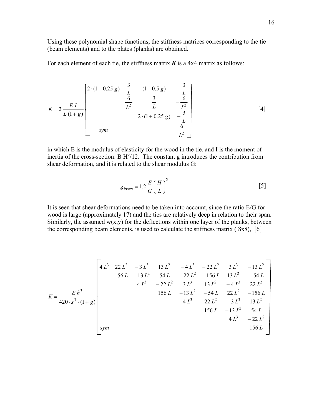Using these polynomial shape functions, the stiffness matrices corresponding to the tie (beam elements) and to the plates (planks) are obtained.

For each element of each tie, the stiffness matrix  $\boldsymbol{K}$  is a 4x4 matrix as follows:

$$
K = 2 \frac{EI}{L(1+g)}
$$

$$
\begin{bmatrix} 2 \cdot (1+0.25 g) & \frac{3}{L} & (1-0.5 g) & -\frac{3}{L} \\ \frac{6}{L^2} & \frac{3}{L} & -\frac{6}{L^2} \\ 2 \cdot (1+0.25 g) & -\frac{3}{L} \\ \text{sym} & \frac{6}{L^2} \end{bmatrix}
$$
 [4]

 which E is the modulus of elasticity for the wood in the tie, and I is the moment of in inertia of the cross-section: B  $H^3/12$ . The constant g introduces the contribution from shear deformation, and it is related to the shear modulus G:

$$
g_{beam} = 1.2 \frac{E}{G} \left(\frac{H}{L}\right)^2 \tag{5}
$$

wood is large (approximately 17) and the ties are relatively deep in relation to their span. Similarly, the assumed  $w(x, y)$  for the deflections within one layer of the planks, between the corresponding beam elements, is used to calculate the stiffness matrix  $(8x8)$ , [6] It is seen that shear deformations need to be taken into account, since the ratio E/G for

$$
K = \frac{E h^3}{420 \cdot s^3 \cdot (1+g)}
$$
\n
$$
= \frac{1}{200}
$$
\n
$$
x = \frac{1}{200}
$$
\n
$$
x = \frac{1}{200}
$$
\n
$$
x = \frac{1}{200}
$$
\n
$$
x = \frac{1}{200}
$$
\n
$$
x = \frac{1}{200}
$$
\n
$$
x = \frac{1}{200}
$$
\n
$$
x = \frac{1}{200}
$$
\n
$$
x = \frac{1}{200}
$$
\n
$$
x = \frac{1}{200}
$$
\n
$$
x = \frac{1}{200}
$$
\n
$$
x = \frac{1}{200}
$$
\n
$$
x = \frac{1}{200}
$$
\n
$$
x = \frac{1}{200}
$$
\n
$$
x = \frac{1}{200}
$$
\n
$$
x = \frac{1}{200}
$$
\n
$$
x = \frac{1}{200}
$$
\n
$$
x = \frac{1}{200}
$$
\n
$$
x = \frac{1}{200}
$$
\n
$$
x = \frac{1}{200}
$$
\n
$$
x = \frac{1}{200}
$$
\n
$$
x = \frac{1}{200}
$$
\n
$$
x = \frac{1}{200}
$$
\n
$$
x = \frac{1}{200}
$$
\n
$$
x = \frac{1}{200}
$$
\n
$$
x = \frac{1}{200}
$$
\n
$$
x = \frac{1}{200}
$$
\n
$$
x = \frac{1}{200}
$$
\n
$$
x = \frac{1}{200}
$$
\n
$$
x = \frac{1}{200}
$$
\n
$$
x = \frac{1}{200}
$$
\n
$$
x = \frac{1}{200}
$$
\n
$$
x = \frac{1}{200}
$$
\n
$$
x = \frac{1}{200}
$$
\n
$$
x = \frac{1}{200}
$$
\n
$$
x = \frac{1}{200}
$$
\n
$$
x = \frac{1
$$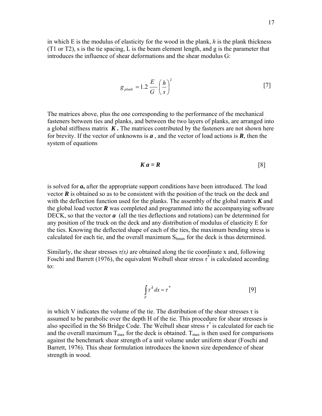in which E is the modulus of elasticity for the wood in the plank, *h* is the plank thickness  $(T1$  or  $T2$ ), s is the tie spacing, L is the beam element length, and g is the parameter that introduces the influence of shear deformations and the shear modulus G:

$$
g_{\text{plank}} = 1.2 \frac{E}{G} \left(\frac{h}{s}\right)^2 \tag{7}
$$

The matrices above, plus the one corresponding to the performance of the mechanical fasteners between ties and planks, and between the two layers of planks, are arranged into a global stiffness matrix  $K$ . The matrices contributed by the fasteners are not shown here system of equations for brevity. If the vector of unknowns is  $a$ , and the vector of load actions is  $R$ , then the

$$
K a = R \tag{8}
$$

the global load vector  *was completed and programmed into the accompanying software* DECK, so that the vector  $a$  (all the ties deflections and rotations) can be determined for calculated for each tie, and the overall maximum  $S_{bmax}$  for the deck is thus determined. is solved for *a***,** after the appropriate support conditions have been introduced. The load vector  $\vec{R}$  is obtained so as to be consistent with the position of the truck on the deck and with the deflection function used for the planks. The assembly of the global matrix *K* and any position of the truck on the deck and any distribution of modulus of elasticity E for the ties. Knowing the deflected shape of each of the ties, the maximum bending stress is

Similarly, the shear stresses  $\tau(x)$  are obtained along the tie coordinate x and, following Foschi and Barrett (1976), the equivalent Weibull shear stress  $\tau^*$  is calculated according to:

$$
\int\limits_V \tau^k dx = \tau^*
$$
 [9]

also specified in the S6 Bridge Code. The Weibull shear stress  $\tau^*$  is calculated for each tie and the overall maximum  $T_{\text{max}}$  for the deck is obtained.  $T_{\text{max}}$  is then used for comparisons Barrett, 1976). This shear formulation introduces the known size dependence of shear in which V indicates the volume of the tie. The distribution of the shear stresses  $\tau$  is assumed to be parabolic over the depth H of the tie. This procedure for shear stresses is against the benchmark shear strength of a unit volume under uniform shear (Foschi and strength in wood.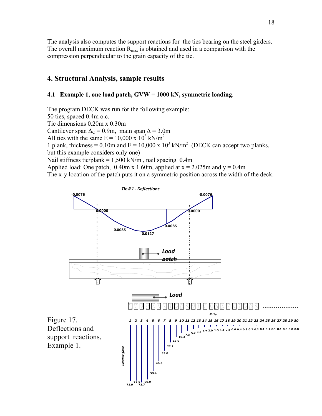The analysis also computes the support reactions for the ties bearing on the steel girders. The overall maximum reaction  $R_{\text{max}}$  is obtained and used in a comparison with the compression perpendicular to the grain capacity of the tie.

## **4. Structural Analysis, sample results**

### **N, symmetric loading**. **4.1 Example 1, one load patch, GVW = 1000 k**

1 plank, thickness = 0.10m and  $E = 10,000 \times 10^3$  kN/m<sup>2</sup> (DECK can accept two planks, but this example considers only one) Nail stiffness tie/plank =  $1,500$  kN/m, nail spacing 0.4m Applied load: One patch,  $0.40$ m x 1.60m, applied at x = 2.025m and y = 0.4m The program DECK was run for the following example: 50 ties, spaced 0.4m o.c. Tie dimensions 0.20m x 0.30m Cantilever span  $\Delta$ <sub>C</sub> = 0.9m, main span  $\Delta$  = 3.0m All ties with the same  $E = 10,000 \times 10^3$  kN/m<sup>2</sup>

The x-y location of the patch puts it on a symmetric position across the width of the deck.

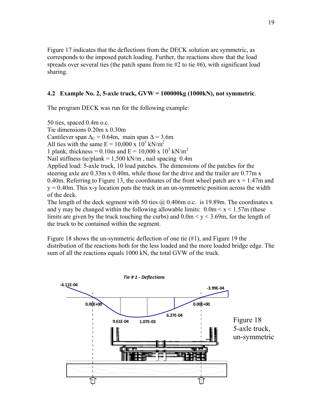Figure 17 indicates that the deflections from the DECK solution are symmetric, as spreads over several ties (the patch spans from tie  $#2$  to tie  $#6$ ), with significant load corresponds to the imposed patch loading. Further, the reactions show that the load sharing.

#### **4.2** Example No. 2, 5-axle truck, GVW = 100000kg (1000kN), not symmetric.

The program DECK was run for the following example:

 $y = 0.40$ m. This x-y location puts the truck in an un-symmetric position across the width of the deck. 50 ties, spaced 0.4m o.c. Tie dimensions 0.20m x 0.30m Cantilever span  $\Delta_C = 0.64$ m, main span  $\Delta = 3.6$ m All ties with the same  $E = 10,000 \times 10^3$  kN/m<sup>2</sup> 1 plank, thickness = 0.10m and  $E = 10,000 \times 10^3$  kN/m<sup>2</sup> Nail stiffness tie/plank =  $1,500$  kN/m, nail spacing 0.4m Applied load: 5-axle truck, 10 load patches. The dimensions of the patches for the steering axle are 0.33m x 0.40m, while those for the drive and the trailer are 0.77m x 0.40m. Referring to Figure 13, the coordinates of the front wheel patch are  $x = 1.47$ m and

The length of the deck segment with 50 ties  $\omega$  0.406m o.c. is 19.89m. The coordinates x limits are given by the truck touching the curbs) and  $0.0 \text{m} < y < 3.69 \text{m}$ , for the length of the truck to be contained within the segment. and y may be changed within the following allowable limits:  $0.0 \text{m} < x < 1.57 \text{m}$  (these

Figure 18 shows the un-symmetric deflection of one tie  $(\#1)$ , and Figure 19 the distribution of the reactions both for the less loaded and the more loaded bridge edge. The sum of all the reactions equals 1000 kN, the total GVW of the truck.

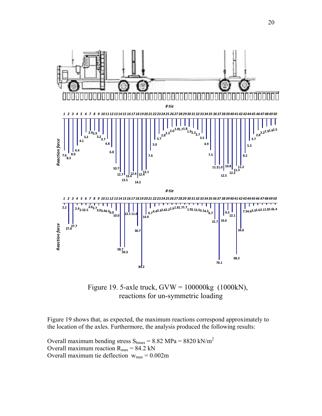

 Figure 19. 5-axle truck, GVW = 100000kg (1000kN), reactions for un-symmetric loading

Figure 19 shows that, as expected, the maximum reactions correspond approximately to the location of the axles. Furthermore, the analysis produced the following results:

Overall maximum bending stress  $S_{bmax} = 8.82 \text{ MPa} = 8820 \text{ kN/m}^2$ Overall maximum reaction  $R_{\text{max}} = 84.2 \text{ kN}$ Overall maximum tie deflection  $w_{max} = 0.002m$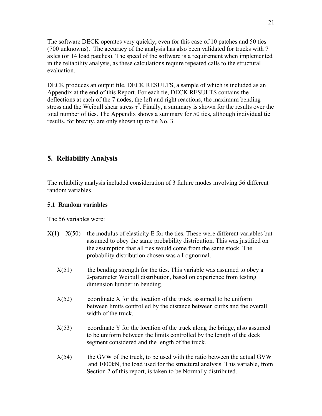The software DECK operates very quickly, even for this case of 10 patches and 50 ties (700 unknowns). The accuracy of the analysis has also been validated for trucks with 7 axles (or 14 load patches). The speed of the software is a requirement when implemented in the reliability analysis, as these calculations require repeated calls to the structural evaluation.

DECK produces an output file, DECK RESULTS, a sample of which is included as an Appendix at the end of this Report. For each tie, DECK RESULTS contains the deflections at each of the 7 nodes, the left and right reactions, the maximum bending stress and the Weibull shear stress  $\tau^*$ . Finally, a summary is shown for the results over the total number of ties. The Appendix shows a summary for 50 ties, although individual tie results, for brevity, are only shown up to tie No. 3.

# **5. Reliability Analysis**

The reliability analysis included consideration of 3 failure modes involving 56 different random variables.

#### **5.1 Random variables**

The 56 variables were:

- $X(1) X(50)$  the modulus of elasticity E for the ties. These were different variables but assumed to obey the same probability distribution. This was justified on the assumption that all ties would come from the same stock. The probability distribution chosen was a Lognormal.
- $X(51)$  the bending strength for the ties. This variable was assumed to obey a 2-parameter Weibull distribution, based on experience from testing dimension lumber in bending.
- $X(52)$  coordinate X for the location of the truck, assumed to be uniform between limits controlled by the distance between curbs and the overall width of the truck.
- $X(53)$  coordinate Y for the location of the truck along the bridge, also assumed to be uniform between the limits controlled by the length of the deck segment considered and the length of the truck.
- and 1000kN, the load used for the structural analysis. This variable, from  $X(54)$  the GVW of the truck, to be used with the ratio between the actual GVW Section 2 of this report, is taken to be Normally distributed.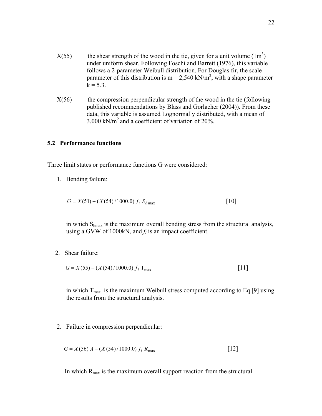- parameter of this distribution is  $m = 2,540$  kN/m<sup>2</sup>, with a shape parameter  $k = 5.3$ .  $X(55)$  the shear strength of the wood in the tie, given for a unit volume  $(1m<sup>3</sup>)$  under uniform shear. Following Foschi and Barrett (1976), this variable follows a 2-parameter Weibull distribution. For Douglas fir, the scale
- $X(56)$  the compression perpendicular strength of the wood in the tie (following published recommendations by Blass and Gorlacher (2004)). From these data, this variable is assumed Lognormally distributed, with a mean of  $3,000 \text{ kN/m}^2$  and a coefficient of variation of 20%.

#### **.2 Performance functions 5**

Three limit states or performance functions G were considered:

1. Bending failure:

$$
G = X(51) - (X(54)/1000.0) f_i S_{bmax}
$$
 [10]

in which  $S_{bmax}$  is the maximum overall bending stress from the structural analysis, using a GVW of 1000kN, and *fi* is an impact coefficient.

2. Shear failure:

$$
G = X(55) - (X(54)/1000.0) f_i \, \text{T}_{\text{max}} \tag{11}
$$

in which  $T_{\text{max}}$  is the maximum Weibull stress computed according to Eq.[9] using the results from the structural analysis.

2. Failure in compression perpendicular:

$$
G = X(56) A - (X(54)/1000.0) f_i R_{\text{max}}
$$
 [12]

In which  $R_{\text{max}}$  is the maximum overall support reaction from the structural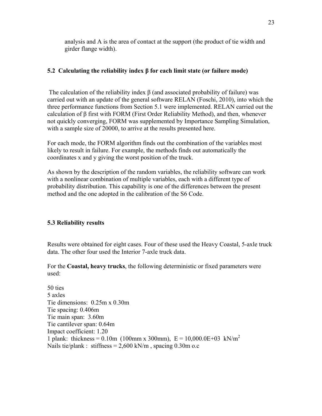analysis and A is the area of contact at the support (the product of tie width and girder flange width).

#### **5.2 Calculating the reliability index β for each limit state (or failure mode)**

The calculation of the reliability index  $\beta$  (and associated probability of failure) was carried out with an update of the general software RELAN (Foschi, 2010), into which the three performance functions from Section 5.1 were implemented. RELAN carried out the calculation of  $\beta$  first with FORM (First Order Reliability Method), and then, whenever not quickly converging, FORM was supplemented by Importance Sampling Simulation, with a sample size of 20000, to arrive at the results presented here.

likely to result in failure. For example, the methods finds out automatically the coordinates x and y giving the worst position of the truck. For each mode, the FORM algorithm finds out the combination of the variables most

As shown by the description of the random variables, the reliability software can work with a nonlinear combination of multiple variables, each with a different type of probability distribution. This capability is one of the differences between the present method and the one adopted in the calibration of the S6 Code.

#### **5.3 Reliability results**

Results were obtained for eight cases. Four of these used the Heavy Coastal, 5-axle truck data. The other four used the Interior 7-axle truck data.

For the **Coastal, heavy trucks**, the following deterministic or fixed parameters were used:

Tie spacing: 0.406m Tie main span: 3.60m Tie cantilever span: 0.64m Impact coefficient: 1.20 1 plank: thickness =  $0.10$ m (100mm x 300mm), E =  $10,000.0E+03$  kN/m<sup>2</sup> 50 ties 5 axles Tie dimensions: 0.25m x 0.30m Nails tie/plank : stiffness =  $2,600$  kN/m, spacing 0.30m o.c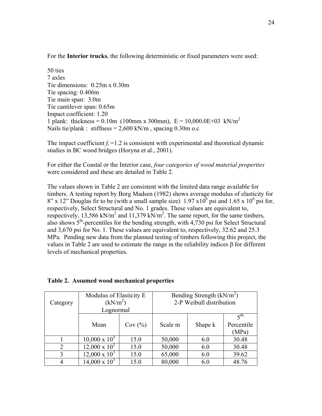For the **Interior trucks**, the following deterministic or fixed parameters were used:

Tie spacing: 0.406m Impact coefficient: 1.20 Nails tie/plank : stiffness =  $2,600$  kN/m, spacing 0.30m o.c 50 ties 7 axles Tie dimensions: 0.25m x 0.30m Tie main span: 3.0m Tie cantilever span: 0.65m 1 plank: thickness = 0.10m (100mm x 300mm),  $E = 10,000.0E + 03$  kN/m<sup>2</sup>

The impact coefficient  $f_i = 1.2$  is consistent with experimental and theoretical dynamic studies in BC wood bridges (Horyna et al., 2001).

For either the Coastal or the Interior case, *four categories of wood material properties* were considered and these are detailed in Table 2.

timbers. A testing report by Borg Madsen (1982) shows average modulus of elasticity for  $8''$  x 12" Douglas fir to be (with a small sample size) 1.97 x10<sup>6</sup> psi and 1.65 x 10<sup>6</sup> psi for, respectively, Select Structural and No. 1 grades. These values are equivalent to, respectively, 13,586 kN/m<sup>2</sup> and 11,379 kN/m<sup>2</sup>. The same report, for the same timbers, also shows  $5<sup>th</sup>$ -percentiles for the bending strength, with 4,730 psi for Select Structural and 3,670 psi for No. 1. These values are equivalent to, respectively, 32.62 and 25.3 MPa. Pending new data from the planned testing of timbers following this project, the values in Table 2 are used to estimate the range in the reliability indices  $\beta$  for different levels of mech anical properties. The values shown in Table 2 are consistent with the limited data range available for

| Category | Modulus of Elasticity E<br>(kN/m <sup>2</sup> )<br>Lognormal |        | Bending Strength $(kN/m2)$<br>2-P Weibull distribution |         |                       |  |
|----------|--------------------------------------------------------------|--------|--------------------------------------------------------|---------|-----------------------|--|
|          |                                                              |        |                                                        |         | $\zeta$ <sup>th</sup> |  |
|          | Mean                                                         | Cov(%) | Scale m                                                | Shape k | Percentile<br>(MPa)   |  |
|          | $10,000 \times 10^3$                                         | 15.0   | 50,000                                                 | 6.0     | 30.48                 |  |
| 2        | $12,000 \times 10^3$                                         | 15.0   | 50,000                                                 | 6.0     | 30.48                 |  |
| 3        | $12,000 \times 10^3$                                         | 15.0   | 65,000                                                 | 6.0     | 39.62                 |  |
|          | $14,000 \times 10^3$                                         | 15.0   | 80,000                                                 | 6.0     | 48.76                 |  |

#### **Table 2. Assumed wood mechanical properties**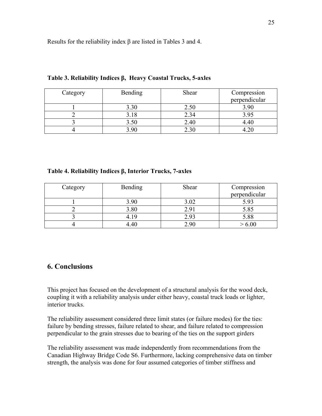Results for the reliability index β are listed in Tables 3 and 4.

| Category | Bending | Shear | Compression   |
|----------|---------|-------|---------------|
|          |         |       | perpendicular |
|          | 3.30    | 2.50  | 3.90          |
|          | 3.18    | 2.34  | 3.95          |
|          | 3.50    | 2.40  |               |
|          | 3.90    | 2.30  |               |

**Table 3. Reliability Indices β, Heavy Coastal Trucks, 5-axles** 

### **Table 4. Reliability Indices β, Interior Trucks, 7-axles**

| Category | <b>Bending</b> | Shear | Compression<br>perpendicular |
|----------|----------------|-------|------------------------------|
|          | 3.90           | 3.02  | 5.93                         |
|          | 3.80           | 2.91  | 5.85                         |
|          | 419            | 2.93  | 5.88                         |
|          | .40            | 2.90  |                              |

# **6. Conclusions**

This project has focused on the development of a structural analysis for the wood deck, coupling it with a reliability analysis under either heavy, coastal truck loads or lighter, interior trucks.

The reliability assessment considered three limit states (or failure modes) for the ties: perpendicular to the grain stresses due to bearing of the ties on the support girders failure by bending stresses, failure related to shear, and failure related to compression

Canadian Highway Bridge Code S6. Furthermore, lacking comprehensive data on timber The reliability assessment was made independently from recommendations from the strength, the analysis was done for four assumed categories of timber stiffness and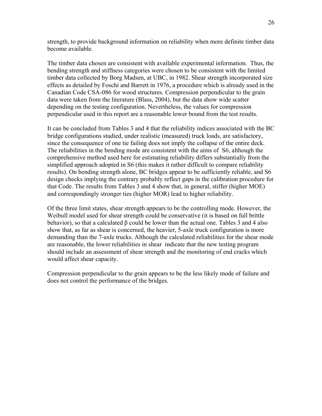strength, to provide background information on reliability when more definite timber da ta become available.

The timber data chosen are consistent with available experimental information. Thu s, the bending strength and stiffness categories were chosen to be consistent with the limited effects as detailed by Foschi and Barrett in 1976, a procedure which is already used in the timber data collected by Borg Madsen, at UBC, in 1982. Shear strength incorporated size Canadian Code CSA-086 for wood structures. Compression perpendicular to the grain data were taken from the literature (Blass, 2004), but the data show wide scatter depending on the testing configuration. Nevertheless, the values for compression perpendicular used in this report are a reasonable lower bound from the test results.

since the consequence of one tie failing does not imply the collapse of the entire deck. The reliabilities in the bending mode are consistent with the aims of S6, although the design checks implying the contrary probably reflect gaps in the calibration procedure for It can be concluded from Tables 3 and 4 that the reliability indices associated with the BC bridge configurations studied, under realistic (measured) truck loads, are satisfactory, comprehensive method used here for estimating reliability differs substantially from the simplified approach adopted in S6 (this makes it rather difficult to compare reliability results). On bending strength alone, BC bridges appear to be sufficiently reliable, and S6 that Code. The results from Tables 3 and 4 show that, in general, stiffer (higher MOE) and correspondingly stronger ties (higher MOR) lead to higher reliability.

Of the three limit states, shear strength appears to be the controlling mode. However, the Weibull model used for shear strength could be conservative (it is based on full brittle show that, as far as shear is concerned, the heavier, 5-axle truck configuration is more demanding than the 7-axle trucks. Although the calculated reliabilities for the shear mode are reasonable, the lower reliabilities in shear indicate that the new testing program should include an assessment of shear strength and the monitoring of end cracks which would affect shear capacity. behavior), so that a calculated β could be lower than the actual one. Tables 3 and 4 also

Compression perpendicular to the grain appears to be the less likely mode of failure and does not control the performance of the bridges.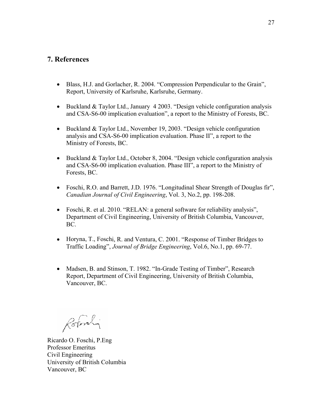## **7. References**

- Blass, H.J. and Gorlacher, R. 2004. "Compression Perpendicular to the Grain", Report, University of Karlsruhe, Karlsruhe, Germany.
- Buckland & Taylor Ltd., January 4 2003. "Design vehicle configuration analysis and CSA-S6-00 implication evaluation", a report to the Ministry of Forests, BC.
- Buckland & Taylor Ltd., November 19, 2003. "Design vehicle configuration analysis and CSA-S6-00 implication evaluation. Phase II", a report to the Ministry of Forests, BC.
- Buckland & Taylor Ltd., October 8, 2004. "Design vehicle configuration analysis and CSA-S6-00 implication evaluation. Phase III", a report to the Ministry of Forests, BC.
- Foschi, R.O. and Barrett, J.D. 1976. "Longitudinal Shear Strength of Douglas fir", *Canadian Journal of Civil Engineering*, Vol. 3, No.2, pp. 198-208.
- Foschi, R. et al. 2010. "RELAN: a general software for reliability analysis", Department of Civil Engineering, University of British Columbia, Vancouver, BC.
- Horyna, T., Foschi, R. and Ventura, C. 2001. "Response of Timber Bridges to *Journal of Bridge Engineering*, Vol.6, No.1, pp. 69-77. Traffic Loading",
- Madsen, B. and Stinson, T. 1982. "In-Grade Testing of Timber", Research Report, Department of Civil Engineering, University of British Columbia, Vancouver, BC.

Rotomly

Ricardo O. Foschi, P.Eng University of British Columbia Vancouver, BC Professor Emeritus Civil Engineering